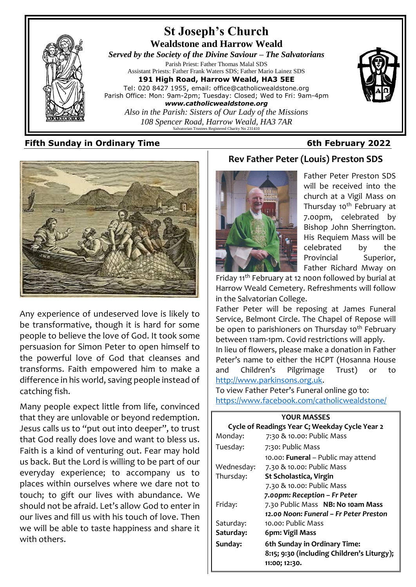

# **Fifth Sunday in Ordinary Time 6th February 2022**



Any experience of undeserved love is likely to be transformative, though it is hard for some people to believe the love of God. It took some persuasion for Simon Peter to open himself to the powerful love of God that cleanses and transforms. Faith empowered him to make a difference in his world, saving people instead of catching fish.

Many people expect little from life, convinced that they are unlovable or beyond redemption. Jesus calls us to "put out into deeper", to trust that God really does love and want to bless us. Faith is a kind of venturing out. Fear may hold us back. But the Lord is willing to be part of our everyday experience; to accompany us to places within ourselves where we dare not to touch; to gift our lives with abundance. We should not be afraid. Let's allow God to enter in our lives and fill us with his touch of love. Then we will be able to taste happiness and share it with others.

# **Rev Father Peter (Louis) Preston SDS**



Father Peter Preston SDS will be received into the church at a Vigil Mass on Thursday 10<sup>th</sup> February at 7.00pm, celebrated by Bishop John Sherrington. His Requiem Mass will be celebrated by the Provincial Superior, Father Richard Mway on

Friday 11<sup>th</sup> February at 12 noon followed by burial at Harrow Weald Cemetery. Refreshments will follow in the Salvatorian College.

Father Peter will be reposing at James Funeral Service, Belmont Circle. The Chapel of Repose will be open to parishioners on Thursday 10<sup>th</sup> February between 11am-1pm. Covid restrictions will apply. In lieu of flowers, please make a donation in Father Peter's name to either the HCPT (Hosanna House and Children's Pilgrimage Trust) or to [http://www.parkinsons.org.uk.](http://www.parkinsons.org.uk/)

To view Father Peter's Funeral online go to: <https://www.facebook.com/catholicwealdstone/>

| <b>YOUR MASSES</b>                             |                                                                                             |  |
|------------------------------------------------|---------------------------------------------------------------------------------------------|--|
| Cycle of Readings Year C; Weekday Cycle Year 2 |                                                                                             |  |
| Monday:                                        | 7:30 & 10.00: Public Mass                                                                   |  |
| Tuesday:                                       | 7:30: Public Mass                                                                           |  |
|                                                | 10.00: Funeral - Public may attend                                                          |  |
| Wednesday:                                     | 7.30 & 10.00: Public Mass                                                                   |  |
| Thursday:                                      | St Scholastica, Virgin                                                                      |  |
|                                                | 7.30 & 10.00: Public Mass                                                                   |  |
|                                                | 7.00pm: Reception - Fr Peter                                                                |  |
| Friday:                                        | 7.30 Public Mass NB: No 10am Mass                                                           |  |
|                                                | 12.00 Noon: Funeral – Fr Peter Preston                                                      |  |
| Saturday:                                      | 10.00: Public Mass                                                                          |  |
| Saturday:                                      | 6pm: Vigil Mass                                                                             |  |
| Sunday:                                        | 6th Sunday in Ordinary Time:<br>8:15; 9:30 (including Children's Liturgy);<br>11:00; 12:30. |  |